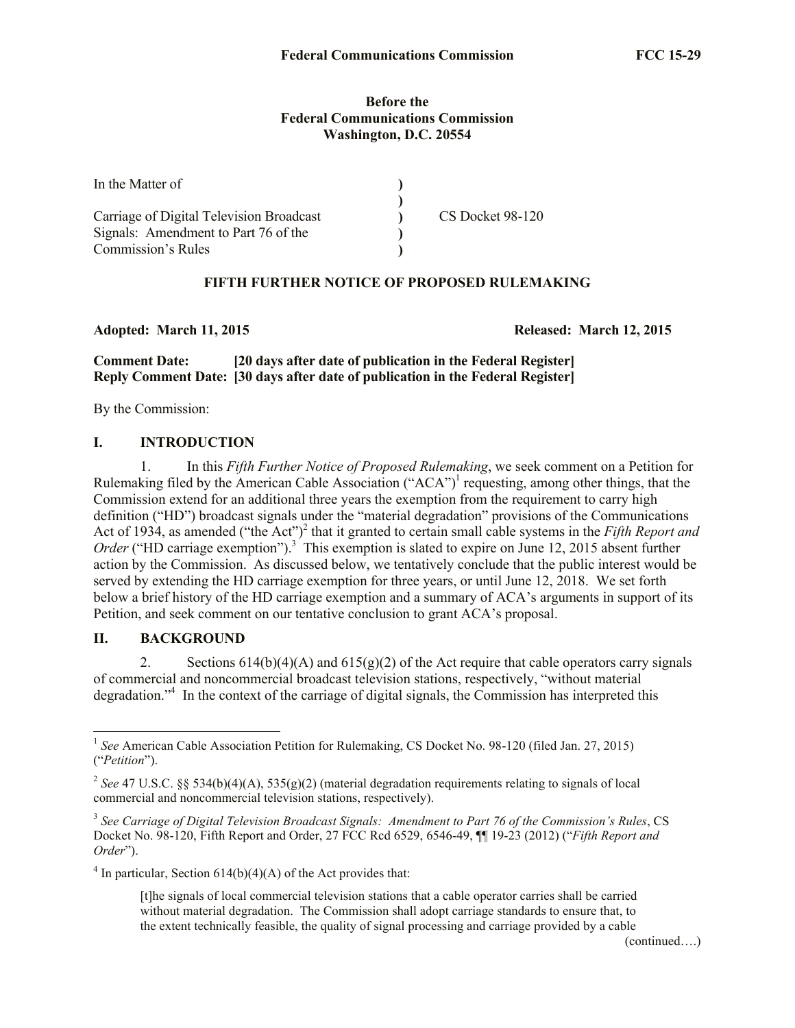#### **Before the Federal Communications Commission Washington, D.C. 20554**

| In the Matter of                         |                  |
|------------------------------------------|------------------|
|                                          |                  |
| Carriage of Digital Television Broadcast | CS Docket 98-120 |
| Signals: Amendment to Part 76 of the     |                  |
| Commission's Rules                       |                  |

## **FIFTH FURTHER NOTICE OF PROPOSED RULEMAKING**

**Adopted: March 11, 2015 Released: March 12, 2015**

**Comment Date: [20 days after date of publication in the Federal Register] Reply Comment Date: [30 days after date of publication in the Federal Register]**

By the Commission:

### **I. INTRODUCTION**

1. In this *Fifth Further Notice of Proposed Rulemaking*, we seek comment on a Petition for Rulemaking filed by the American Cable Association ("ACA")<sup>1</sup> requesting, among other things, that the Commission extend for an additional three years the exemption from the requirement to carry high definition ("HD") broadcast signals under the "material degradation" provisions of the Communications Act of 1934, as amended ("the Act")<sup>2</sup> that it granted to certain small cable systems in the *Fifth Report and* Order ("HD carriage exemption").<sup>3</sup> This exemption is slated to expire on June 12, 2015 absent further action by the Commission. As discussed below, we tentatively conclude that the public interest would be served by extending the HD carriage exemption for three years, or until June 12, 2018. We set forth below a brief history of the HD carriage exemption and a summary of ACA's arguments in support of its Petition, and seek comment on our tentative conclusion to grant ACA's proposal.

## **II. BACKGROUND**

2. Sections  $614(b)(4)(A)$  and  $615(g)(2)$  of the Act require that cable operators carry signals of commercial and noncommercial broadcast television stations, respectively, "without material degradation."<sup>4</sup> In the context of the carriage of digital signals, the Commission has interpreted this

 $4$  In particular, Section 614(b)(4)(A) of the Act provides that:

(continued….)

<sup>&</sup>lt;sup>1</sup> See American Cable Association Petition for Rulemaking, CS Docket No. 98-120 (filed Jan. 27, 2015) ("*Petition*").

<sup>&</sup>lt;sup>2</sup> See 47 U.S.C. §§ 534(b)(4)(A), 535(g)(2) (material degradation requirements relating to signals of local commercial and noncommercial television stations, respectively).

<sup>3</sup> *See Carriage of Digital Television Broadcast Signals: Amendment to Part 76 of the Commission's Rules*, CS Docket No. 98-120, Fifth Report and Order, 27 FCC Rcd 6529, 6546-49, ¶¶ 19-23 (2012) ("*Fifth Report and Order*").

<sup>[</sup>t]he signals of local commercial television stations that a cable operator carries shall be carried without material degradation. The Commission shall adopt carriage standards to ensure that, to the extent technically feasible, the quality of signal processing and carriage provided by a cable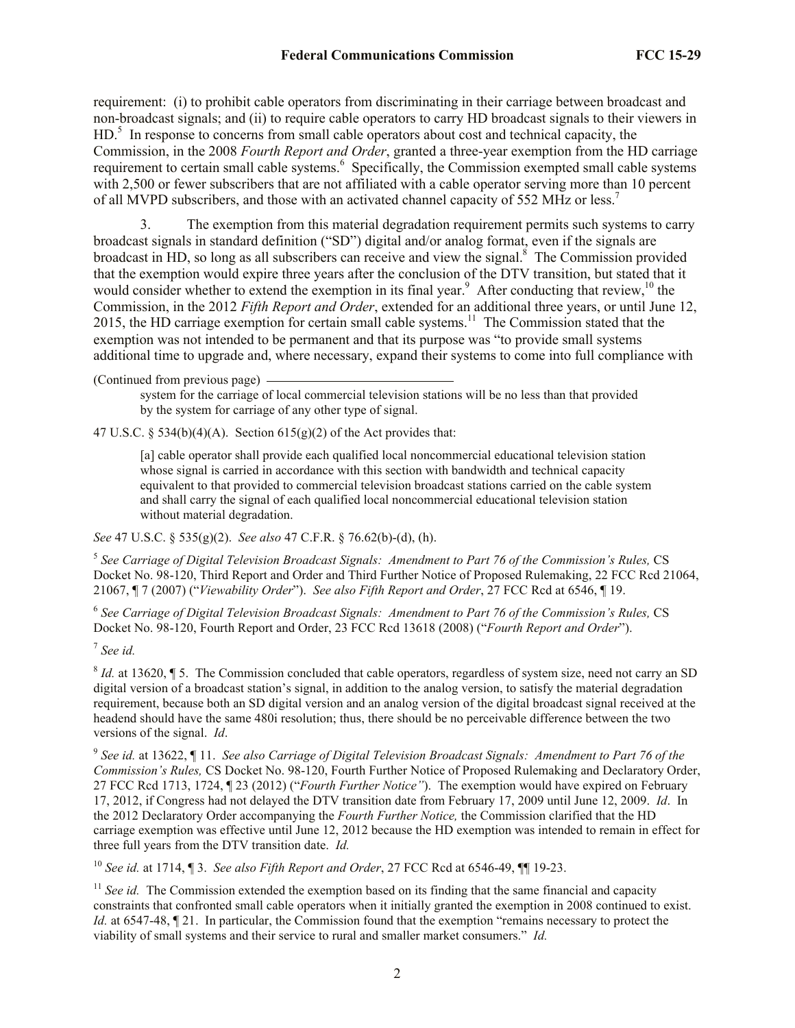requirement: (i) to prohibit cable operators from discriminating in their carriage between broadcast and non-broadcast signals; and (ii) to require cable operators to carry HD broadcast signals to their viewers in HD.<sup>5</sup> In response to concerns from small cable operators about cost and technical capacity, the Commission, in the 2008 *Fourth Report and Order*, granted a three-year exemption from the HD carriage requirement to certain small cable systems.<sup>6</sup> Specifically, the Commission exempted small cable systems with 2,500 or fewer subscribers that are not affiliated with a cable operator serving more than 10 percent of all MVPD subscribers, and those with an activated channel capacity of 552 MHz or less.<sup>7</sup>

3. The exemption from this material degradation requirement permits such systems to carry broadcast signals in standard definition ("SD") digital and/or analog format, even if the signals are broadcast in HD, so long as all subscribers can receive and view the signal.<sup>8</sup> The Commission provided that the exemption would expire three years after the conclusion of the DTV transition, but stated that it would consider whether to extend the exemption in its final year.<sup>9</sup> After conducting that review,<sup>10</sup> the Commission, in the 2012 *Fifth Report and Order*, extended for an additional three years, or until June 12, 2015, the HD carriage exemption for certain small cable systems.<sup>11</sup> The Commission stated that the exemption was not intended to be permanent and that its purpose was "to provide small systems additional time to upgrade and, where necessary, expand their systems to come into full compliance with

(Continued from previous page)

system for the carriage of local commercial television stations will be no less than that provided by the system for carriage of any other type of signal.

47 U.S.C. § 534(b)(4)(A). Section  $615(g)(2)$  of the Act provides that:

[a] cable operator shall provide each qualified local noncommercial educational television station whose signal is carried in accordance with this section with bandwidth and technical capacity equivalent to that provided to commercial television broadcast stations carried on the cable system and shall carry the signal of each qualified local noncommercial educational television station without material degradation.

*See* 47 U.S.C. § 535(g)(2). *See also* 47 C.F.R. § 76.62(b)-(d), (h).

<sup>5</sup> See Carriage of Digital Television Broadcast Signals: Amendment to Part 76 of the Commission's Rules, CS Docket No. 98-120, Third Report and Order and Third Further Notice of Proposed Rulemaking, 22 FCC Rcd 21064, 21067, ¶ 7 (2007) ("*Viewability Order*"). *See also Fifth Report and Order*, 27 FCC Rcd at 6546, ¶ 19.

6 *See Carriage of Digital Television Broadcast Signals: Amendment to Part 76 of the Commission's Rules,* CS Docket No. 98-120, Fourth Report and Order, 23 FCC Rcd 13618 (2008) ("*Fourth Report and Order*").

7 *See id.*

 $\delta$  *Id.* at 13620,  $\parallel$  5. The Commission concluded that cable operators, regardless of system size, need not carry an SD digital version of a broadcast station's signal, in addition to the analog version, to satisfy the material degradation requirement, because both an SD digital version and an analog version of the digital broadcast signal received at the headend should have the same 480i resolution; thus, there should be no perceivable difference between the two versions of the signal. *Id*.

9 *See id.* at 13622, ¶ 11. *See also Carriage of Digital Television Broadcast Signals: Amendment to Part 76 of the Commission's Rules,* CS Docket No. 98-120, Fourth Further Notice of Proposed Rulemaking and Declaratory Order, 27 FCC Rcd 1713, 1724, ¶ 23 (2012) ("*Fourth Further Notice"*). The exemption would have expired on February 17, 2012, if Congress had not delayed the DTV transition date from February 17, 2009 until June 12, 2009. *Id*. In the 2012 Declaratory Order accompanying the *Fourth Further Notice,* the Commission clarified that the HD carriage exemption was effective until June 12, 2012 because the HD exemption was intended to remain in effect for three full years from the DTV transition date. *Id.*

<sup>10</sup> *See id.* at 1714, ¶ 3. *See also Fifth Report and Order*, 27 FCC Rcd at 6546-49, ¶¶ 19-23.

<sup>11</sup> *See id.* The Commission extended the exemption based on its finding that the same financial and capacity constraints that confronted small cable operators when it initially granted the exemption in 2008 continued to exist. *Id.* at 6547-48,  $\llbracket 21$ . In particular, the Commission found that the exemption "remains necessary to protect the viability of small systems and their service to rural and smaller market consumers." *Id.*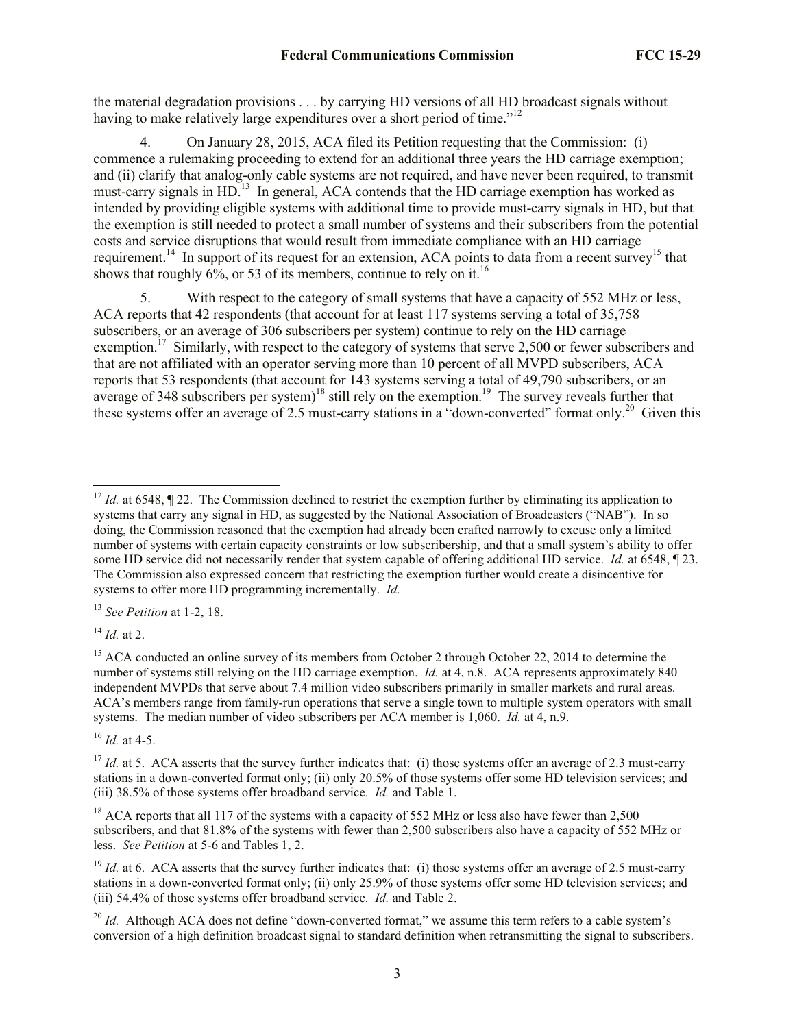the material degradation provisions . . . by carrying HD versions of all HD broadcast signals without having to make relatively large expenditures over a short period of time."<sup>12</sup>

4. On January 28, 2015, ACA filed its Petition requesting that the Commission: (i) commence a rulemaking proceeding to extend for an additional three years the HD carriage exemption; and (ii) clarify that analog-only cable systems are not required, and have never been required, to transmit must-carry signals in HD.<sup>13</sup> In general, ACA contends that the HD carriage exemption has worked as intended by providing eligible systems with additional time to provide must-carry signals in HD, but that the exemption is still needed to protect a small number of systems and their subscribers from the potential costs and service disruptions that would result from immediate compliance with an HD carriage requirement.<sup>14</sup> In support of its request for an extension, ACA points to data from a recent survey<sup>15</sup> that shows that roughly  $6\%$ , or 53 of its members, continue to rely on it.<sup>16</sup>

5. With respect to the category of small systems that have a capacity of 552 MHz or less, ACA reports that 42 respondents (that account for at least 117 systems serving a total of 35,758 subscribers, or an average of 306 subscribers per system) continue to rely on the HD carriage exemption.<sup>17</sup> Similarly, with respect to the category of systems that serve 2,500 or fewer subscribers and that are not affiliated with an operator serving more than 10 percent of all MVPD subscribers, ACA reports that 53 respondents (that account for 143 systems serving a total of 49,790 subscribers, or an average of 348 subscribers per system)<sup>18</sup> still rely on the exemption.<sup>19</sup> The survey reveals further that these systems offer an average of 2.5 must-carry stations in a "down-converted" format only.<sup>20</sup> Given this

<sup>13</sup> *See Petition* at 1-2, 18.

<sup>14</sup> *Id.* at 2.

<sup>16</sup> *Id.* at 4-5.

l <sup>12</sup> *Id.* at 6548,  $\sqrt{2}$  22. The Commission declined to restrict the exemption further by eliminating its application to systems that carry any signal in HD, as suggested by the National Association of Broadcasters ("NAB"). In so doing, the Commission reasoned that the exemption had already been crafted narrowly to excuse only a limited number of systems with certain capacity constraints or low subscribership, and that a small system's ability to offer some HD service did not necessarily render that system capable of offering additional HD service. *Id.* at 6548, ¶ 23. The Commission also expressed concern that restricting the exemption further would create a disincentive for systems to offer more HD programming incrementally. *Id.*

<sup>&</sup>lt;sup>15</sup> ACA conducted an online survey of its members from October 2 through October 22, 2014 to determine the number of systems still relying on the HD carriage exemption. *Id.* at 4, n.8. ACA represents approximately 840 independent MVPDs that serve about 7.4 million video subscribers primarily in smaller markets and rural areas. ACA's members range from family-run operations that serve a single town to multiple system operators with small systems. The median number of video subscribers per ACA member is 1,060. *Id.* at 4, n.9.

<sup>&</sup>lt;sup>17</sup> *Id.* at 5. ACA asserts that the survey further indicates that: (i) those systems offer an average of 2.3 must-carry stations in a down-converted format only; (ii) only 20.5% of those systems offer some HD television services; and (iii) 38.5% of those systems offer broadband service. *Id.* and Table 1.

<sup>&</sup>lt;sup>18</sup> ACA reports that all 117 of the systems with a capacity of 552 MHz or less also have fewer than 2,500 subscribers, and that 81.8% of the systems with fewer than 2,500 subscribers also have a capacity of 552 MHz or less. *See Petition* at 5-6 and Tables 1, 2.

<sup>&</sup>lt;sup>19</sup> *Id.* at 6. ACA asserts that the survey further indicates that: (i) those systems offer an average of 2.5 must-carry stations in a down-converted format only; (ii) only 25.9% of those systems offer some HD television services; and (iii) 54.4% of those systems offer broadband service. *Id.* and Table 2.

<sup>&</sup>lt;sup>20</sup> *Id.* Although ACA does not define "down-converted format," we assume this term refers to a cable system's conversion of a high definition broadcast signal to standard definition when retransmitting the signal to subscribers.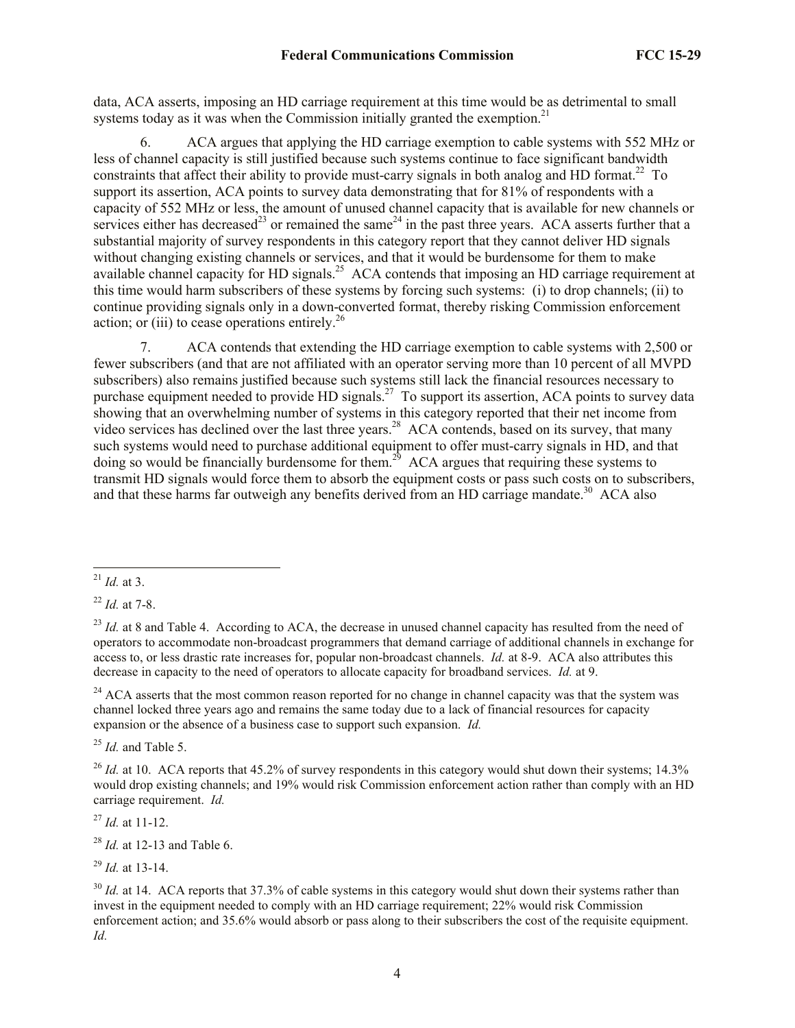data, ACA asserts, imposing an HD carriage requirement at this time would be as detrimental to small systems today as it was when the Commission initially granted the exemption.<sup>21</sup>

6. ACA argues that applying the HD carriage exemption to cable systems with 552 MHz or less of channel capacity is still justified because such systems continue to face significant bandwidth constraints that affect their ability to provide must-carry signals in both analog and HD format.<sup>22</sup> To support its assertion, ACA points to survey data demonstrating that for 81% of respondents with a capacity of 552 MHz or less, the amount of unused channel capacity that is available for new channels or services either has decreased<sup>23</sup> or remained the same<sup>24</sup> in the past three years. ACA asserts further that a substantial majority of survey respondents in this category report that they cannot deliver HD signals without changing existing channels or services, and that it would be burdensome for them to make available channel capacity for HD signals.<sup>25</sup> ACA contends that imposing an HD carriage requirement at this time would harm subscribers of these systems by forcing such systems: (i) to drop channels; (ii) to continue providing signals only in a down-converted format, thereby risking Commission enforcement action; or (iii) to cease operations entirely.<sup>26</sup>

7. ACA contends that extending the HD carriage exemption to cable systems with 2,500 or fewer subscribers (and that are not affiliated with an operator serving more than 10 percent of all MVPD subscribers) also remains justified because such systems still lack the financial resources necessary to purchase equipment needed to provide HD signals.<sup>27</sup> To support its assertion, ACA points to survey data showing that an overwhelming number of systems in this category reported that their net income from video services has declined over the last three years.<sup>28</sup> ACA contends, based on its survey, that many such systems would need to purchase additional equipment to offer must-carry signals in HD, and that doing so would be financially burdensome for them.<sup>29</sup> ACA argues that requiring these systems to transmit HD signals would force them to absorb the equipment costs or pass such costs on to subscribers, and that these harms far outweigh any benefits derived from an HD carriage mandate.<sup>30</sup> ACA also

<sup>22</sup> *Id.* at 7-8.

<sup>24</sup> ACA asserts that the most common reason reported for no change in channel capacity was that the system was channel locked three years ago and remains the same today due to a lack of financial resources for capacity expansion or the absence of a business case to support such expansion. *Id.* 

<sup>25</sup> *Id.* and Table 5.

 $^{26}$  *Id.* at 10. ACA reports that 45.2% of survey respondents in this category would shut down their systems; 14.3% would drop existing channels; and 19% would risk Commission enforcement action rather than comply with an HD carriage requirement. *Id.*

<sup>27</sup> *Id.* at 11-12.

<sup>28</sup> *Id.* at 12-13 and Table 6.

<sup>29</sup> *Id.* at 13-14.

<sup>30</sup> *Id.* at 14. ACA reports that 37.3% of cable systems in this category would shut down their systems rather than invest in the equipment needed to comply with an HD carriage requirement; 22% would risk Commission enforcement action; and 35.6% would absorb or pass along to their subscribers the cost of the requisite equipment. *Id.*

l <sup>21</sup> *Id.* at 3.

<sup>&</sup>lt;sup>23</sup> *Id.* at 8 and Table 4. According to ACA, the decrease in unused channel capacity has resulted from the need of operators to accommodate non-broadcast programmers that demand carriage of additional channels in exchange for access to, or less drastic rate increases for, popular non-broadcast channels. *Id.* at 8-9. ACA also attributes this decrease in capacity to the need of operators to allocate capacity for broadband services. *Id.* at 9.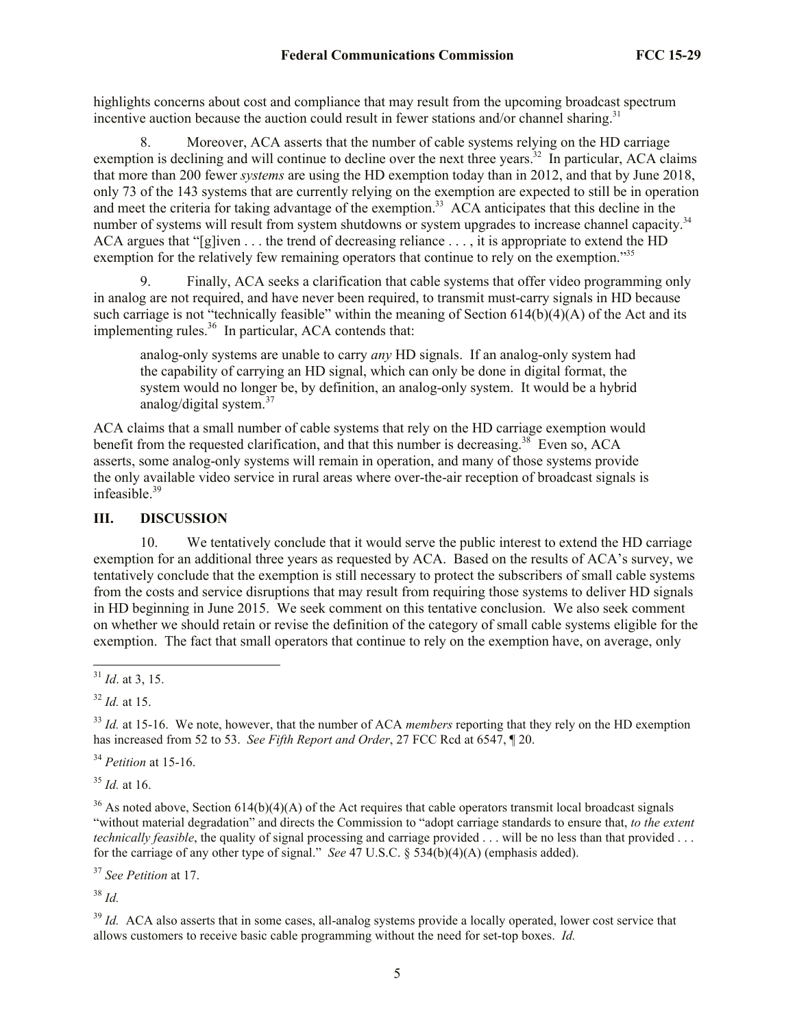highlights concerns about cost and compliance that may result from the upcoming broadcast spectrum incentive auction because the auction could result in fewer stations and/or channel sharing.<sup>31</sup>

8. Moreover, ACA asserts that the number of cable systems relying on the HD carriage exemption is declining and will continue to decline over the next three years.<sup>32</sup> In particular, ACA claims that more than 200 fewer *systems* are using the HD exemption today than in 2012, and that by June 2018, only 73 of the 143 systems that are currently relying on the exemption are expected to still be in operation and meet the criteria for taking advantage of the exemption.<sup>33</sup> ACA anticipates that this decline in the number of systems will result from system shutdowns or system upgrades to increase channel capacity.<sup>34</sup> ACA argues that "[g]iven . . . the trend of decreasing reliance . . . , it is appropriate to extend the HD exemption for the relatively few remaining operators that continue to rely on the exemption."<sup>35</sup>

9. Finally, ACA seeks a clarification that cable systems that offer video programming only in analog are not required, and have never been required, to transmit must-carry signals in HD because such carriage is not "technically feasible" within the meaning of Section  $614(b)(4)(A)$  of the Act and its implementing rules.<sup>36</sup> In particular, ACA contends that:

analog-only systems are unable to carry *any* HD signals. If an analog-only system had the capability of carrying an HD signal, which can only be done in digital format, the system would no longer be, by definition, an analog-only system. It would be a hybrid analog/digital system. $37$ 

ACA claims that a small number of cable systems that rely on the HD carriage exemption would benefit from the requested clarification, and that this number is decreasing.<sup>38</sup> Even so, ACA asserts, some analog-only systems will remain in operation, and many of those systems provide the only available video service in rural areas where over-the-air reception of broadcast signals is infeasible.<sup>39</sup>

### **III. DISCUSSION**

10. We tentatively conclude that it would serve the public interest to extend the HD carriage exemption for an additional three years as requested by ACA. Based on the results of ACA's survey, we tentatively conclude that the exemption is still necessary to protect the subscribers of small cable systems from the costs and service disruptions that may result from requiring those systems to deliver HD signals in HD beginning in June 2015. We seek comment on this tentative conclusion. We also seek comment on whether we should retain or revise the definition of the category of small cable systems eligible for the exemption. The fact that small operators that continue to rely on the exemption have, on average, only

l

<sup>34</sup> *Petition* at 15-16.

<sup>35</sup> *Id.* at 16.

<sup>36</sup> As noted above, Section 614(b)(4)(A) of the Act requires that cable operators transmit local broadcast signals "without material degradation" and directs the Commission to "adopt carriage standards to ensure that, *to the extent technically feasible*, the quality of signal processing and carriage provided . . . will be no less than that provided . . . for the carriage of any other type of signal." *See* 47 U.S.C. § 534(b)(4)(A) (emphasis added).

<sup>37</sup> *See Petition* at 17.

<sup>38</sup> *Id.*

<sup>39</sup> *Id.* ACA also asserts that in some cases, all-analog systems provide a locally operated, lower cost service that allows customers to receive basic cable programming without the need for set-top boxes. *Id.*

<sup>31</sup> *Id*. at 3, 15.

<sup>32</sup> *Id.* at 15.

<sup>&</sup>lt;sup>33</sup> *Id.* at 15-16. We note, however, that the number of ACA *members* reporting that they rely on the HD exemption has increased from 52 to 53. *See Fifth Report and Order*, 27 FCC Rcd at 6547, ¶ 20.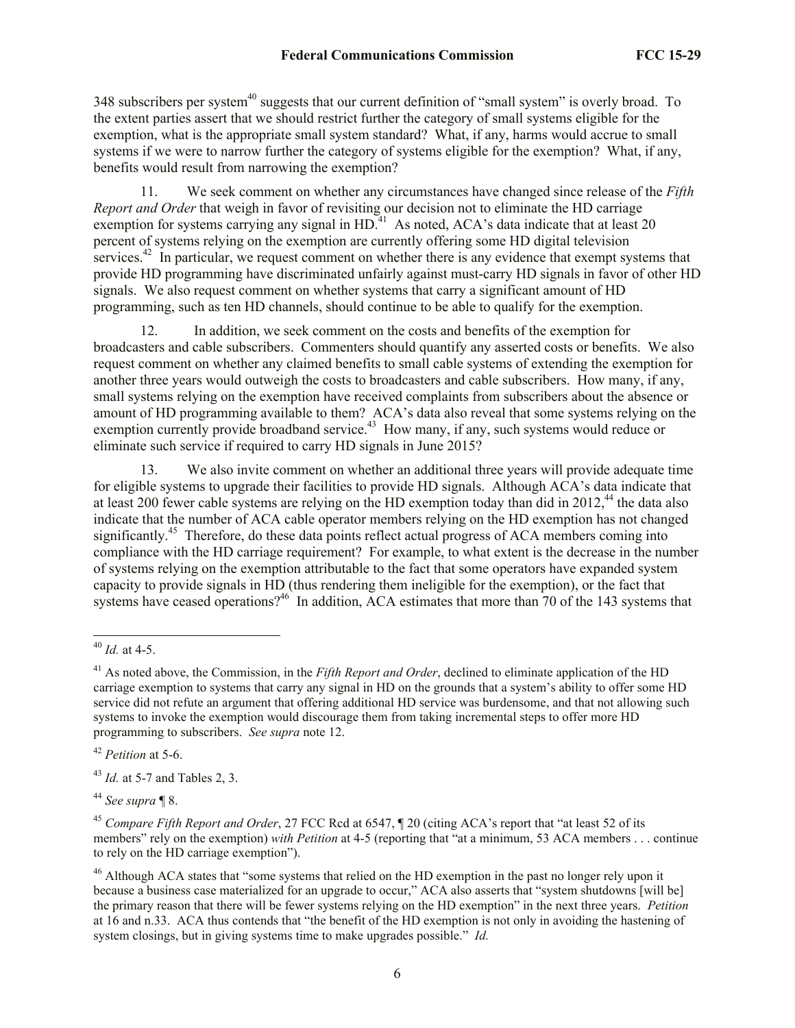348 subscribers per system<sup>40</sup> suggests that our current definition of "small system" is overly broad. To the extent parties assert that we should restrict further the category of small systems eligible for the exemption, what is the appropriate small system standard? What, if any, harms would accrue to small systems if we were to narrow further the category of systems eligible for the exemption? What, if any, benefits would result from narrowing the exemption?

11. We seek comment on whether any circumstances have changed since release of the *Fifth Report and Order* that weigh in favor of revisiting our decision not to eliminate the HD carriage exemption for systems carrying any signal in  $HD<sup>41</sup>$ . As noted, ACA's data indicate that at least 20 percent of systems relying on the exemption are currently offering some HD digital television services.<sup>42</sup> In particular, we request comment on whether there is any evidence that exempt systems that provide HD programming have discriminated unfairly against must-carry HD signals in favor of other HD signals. We also request comment on whether systems that carry a significant amount of HD programming, such as ten HD channels, should continue to be able to qualify for the exemption.

12. In addition, we seek comment on the costs and benefits of the exemption for broadcasters and cable subscribers. Commenters should quantify any asserted costs or benefits. We also request comment on whether any claimed benefits to small cable systems of extending the exemption for another three years would outweigh the costs to broadcasters and cable subscribers. How many, if any, small systems relying on the exemption have received complaints from subscribers about the absence or amount of HD programming available to them? ACA's data also reveal that some systems relying on the exemption currently provide broadband service.<sup>43</sup> How many, if any, such systems would reduce or eliminate such service if required to carry HD signals in June 2015?

13. We also invite comment on whether an additional three years will provide adequate time for eligible systems to upgrade their facilities to provide HD signals. Although ACA's data indicate that at least 200 fewer cable systems are relying on the HD exemption today than did in 2012,<sup>44</sup> the data also indicate that the number of ACA cable operator members relying on the HD exemption has not changed significantly.<sup>45</sup> Therefore, do these data points reflect actual progress of ACA members coming into compliance with the HD carriage requirement? For example, to what extent is the decrease in the number of systems relying on the exemption attributable to the fact that some operators have expanded system capacity to provide signals in HD (thus rendering them ineligible for the exemption), or the fact that systems have ceased operations?<sup>46</sup> In addition, ACA estimates that more than 70 of the 143 systems that

l

<sup>42</sup> *Petition* at 5-6.

<sup>43</sup> *Id.* at 5-7 and Tables 2, 3.

<sup>44</sup> *See supra* ¶ 8.

<sup>40</sup> *Id.* at 4-5.

<sup>&</sup>lt;sup>41</sup> As noted above, the Commission, in the *Fifth Report and Order*, declined to eliminate application of the HD carriage exemption to systems that carry any signal in HD on the grounds that a system's ability to offer some HD service did not refute an argument that offering additional HD service was burdensome, and that not allowing such systems to invoke the exemption would discourage them from taking incremental steps to offer more HD programming to subscribers. *See supra* note 12.

<sup>45</sup> *Compare Fifth Report and Order*, 27 FCC Rcd at 6547, ¶ 20 (citing ACA's report that "at least 52 of its members" rely on the exemption) *with Petition* at 4-5 (reporting that "at a minimum, 53 ACA members . . . continue to rely on the HD carriage exemption").

<sup>&</sup>lt;sup>46</sup> Although ACA states that "some systems that relied on the HD exemption in the past no longer rely upon it because a business case materialized for an upgrade to occur," ACA also asserts that "system shutdowns [will be] the primary reason that there will be fewer systems relying on the HD exemption" in the next three years. *Petition*  at 16 and n.33. ACA thus contends that "the benefit of the HD exemption is not only in avoiding the hastening of system closings, but in giving systems time to make upgrades possible." *Id.*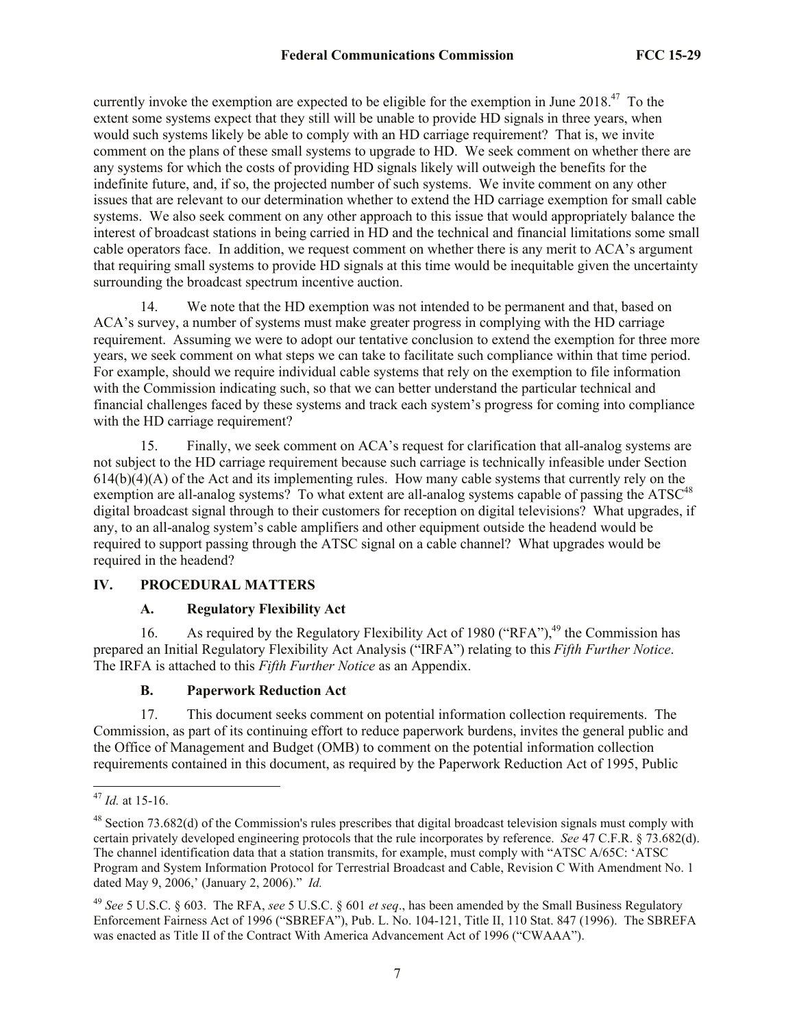currently invoke the exemption are expected to be eligible for the exemption in June  $2018.<sup>47</sup>$  To the extent some systems expect that they still will be unable to provide HD signals in three years, when would such systems likely be able to comply with an HD carriage requirement? That is, we invite comment on the plans of these small systems to upgrade to HD. We seek comment on whether there are any systems for which the costs of providing HD signals likely will outweigh the benefits for the indefinite future, and, if so, the projected number of such systems. We invite comment on any other issues that are relevant to our determination whether to extend the HD carriage exemption for small cable systems. We also seek comment on any other approach to this issue that would appropriately balance the interest of broadcast stations in being carried in HD and the technical and financial limitations some small cable operators face. In addition, we request comment on whether there is any merit to ACA's argument that requiring small systems to provide HD signals at this time would be inequitable given the uncertainty surrounding the broadcast spectrum incentive auction.

14. We note that the HD exemption was not intended to be permanent and that, based on ACA's survey, a number of systems must make greater progress in complying with the HD carriage requirement. Assuming we were to adopt our tentative conclusion to extend the exemption for three more years, we seek comment on what steps we can take to facilitate such compliance within that time period. For example, should we require individual cable systems that rely on the exemption to file information with the Commission indicating such, so that we can better understand the particular technical and financial challenges faced by these systems and track each system's progress for coming into compliance with the HD carriage requirement?

15. Finally, we seek comment on ACA's request for clarification that all-analog systems are not subject to the HD carriage requirement because such carriage is technically infeasible under Section  $614(b)(4)(A)$  of the Act and its implementing rules. How many cable systems that currently rely on the exemption are all-analog systems? To what extent are all-analog systems capable of passing the ATSC<sup>48</sup> digital broadcast signal through to their customers for reception on digital televisions? What upgrades, if any, to an all-analog system's cable amplifiers and other equipment outside the headend would be required to support passing through the ATSC signal on a cable channel? What upgrades would be required in the headend?

### **IV. PROCEDURAL MATTERS**

### **A. Regulatory Flexibility Act**

16. As required by the Regulatory Flexibility Act of 1980 ("RFA"),  $49$  the Commission has prepared an Initial Regulatory Flexibility Act Analysis ("IRFA") relating to this *Fifth Further Notice*. The IRFA is attached to this *Fifth Further Notice* as an Appendix.

### **B. Paperwork Reduction Act**

17. This document seeks comment on potential information collection requirements. The Commission, as part of its continuing effort to reduce paperwork burdens, invites the general public and the Office of Management and Budget (OMB) to comment on the potential information collection requirements contained in this document, as required by the Paperwork Reduction Act of 1995, Public

l

<sup>47</sup> *Id.* at 15-16.

<sup>48</sup> Section 73.682(d) of the Commission's rules prescribes that digital broadcast television signals must comply with certain privately developed engineering protocols that the rule incorporates by reference. *See* 47 C.F.R. § 73.682(d). The channel identification data that a station transmits, for example, must comply with "ATSC A/65C: 'ATSC Program and System Information Protocol for Terrestrial Broadcast and Cable, Revision C With Amendment No. 1 dated May 9, 2006,' (January 2, 2006)." *Id.*

<sup>49</sup> *See* 5 U.S.C. § 603. The RFA, *see* 5 U.S.C. § 601 *et seq*., has been amended by the Small Business Regulatory Enforcement Fairness Act of 1996 ("SBREFA"), Pub. L. No. 104-121, Title II, 110 Stat. 847 (1996). The SBREFA was enacted as Title II of the Contract With America Advancement Act of 1996 ("CWAAA").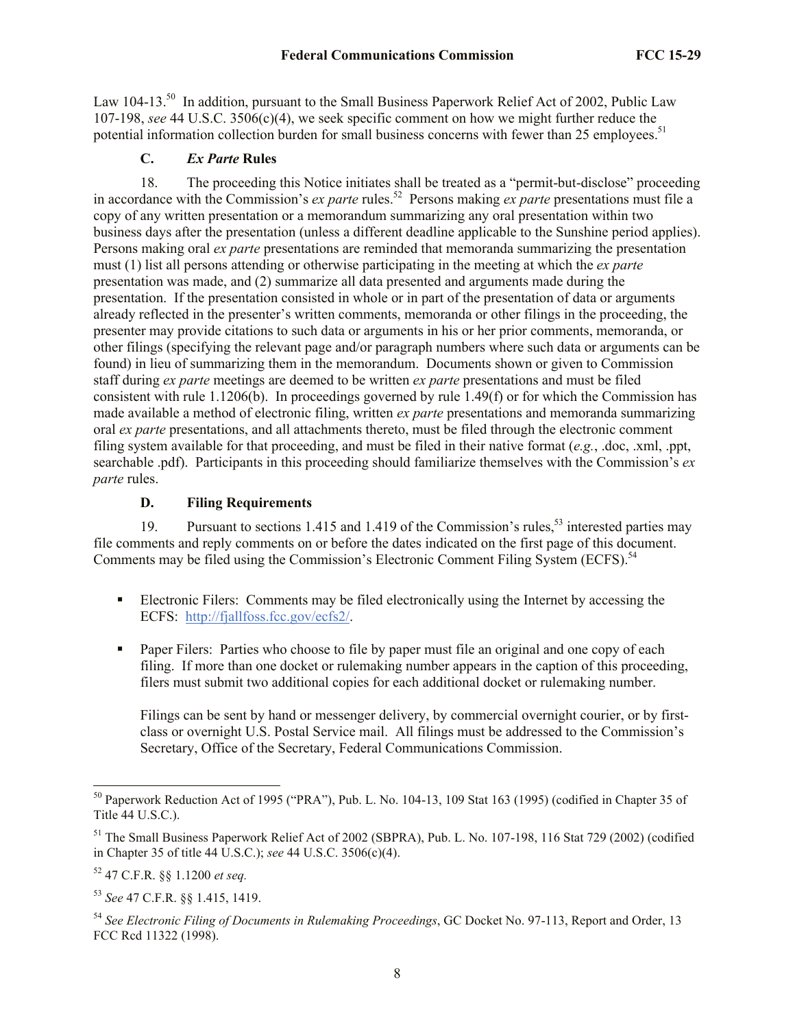Law 104-13.<sup>50</sup> In addition, pursuant to the Small Business Paperwork Relief Act of 2002, Public Law 107-198, *see* 44 U.S.C. 3506(c)(4), we seek specific comment on how we might further reduce the potential information collection burden for small business concerns with fewer than 25 employees.<sup>51</sup>

# **C.** *Ex Parte* **Rules**

18. The proceeding this Notice initiates shall be treated as a "permit-but-disclose" proceeding in accordance with the Commission's *ex parte* rules.<sup>52</sup> Persons making *ex parte* presentations must file a copy of any written presentation or a memorandum summarizing any oral presentation within two business days after the presentation (unless a different deadline applicable to the Sunshine period applies). Persons making oral *ex parte* presentations are reminded that memoranda summarizing the presentation must (1) list all persons attending or otherwise participating in the meeting at which the *ex parte*  presentation was made, and (2) summarize all data presented and arguments made during the presentation. If the presentation consisted in whole or in part of the presentation of data or arguments already reflected in the presenter's written comments, memoranda or other filings in the proceeding, the presenter may provide citations to such data or arguments in his or her prior comments, memoranda, or other filings (specifying the relevant page and/or paragraph numbers where such data or arguments can be found) in lieu of summarizing them in the memorandum. Documents shown or given to Commission staff during *ex parte* meetings are deemed to be written *ex parte* presentations and must be filed consistent with rule 1.1206(b). In proceedings governed by rule 1.49(f) or for which the Commission has made available a method of electronic filing, written *ex parte* presentations and memoranda summarizing oral *ex parte* presentations, and all attachments thereto, must be filed through the electronic comment filing system available for that proceeding, and must be filed in their native format (*e.g.*, .doc, .xml, .ppt, searchable .pdf). Participants in this proceeding should familiarize themselves with the Commission's *ex parte* rules.

## **D. Filing Requirements**

19. Pursuant to sections 1.415 and 1.419 of the Commission's rules,<sup>53</sup> interested parties may file comments and reply comments on or before the dates indicated on the first page of this document. Comments may be filed using the Commission's Electronic Comment Filing System (ECFS).<sup>54</sup>

- Electronic Filers: Comments may be filed electronically using the Internet by accessing the ECFS: http://fjallfoss.fcc.gov/ecfs2/.
- **Paper Filers:** Parties who choose to file by paper must file an original and one copy of each filing. If more than one docket or rulemaking number appears in the caption of this proceeding, filers must submit two additional copies for each additional docket or rulemaking number.

Filings can be sent by hand or messenger delivery, by commercial overnight courier, or by firstclass or overnight U.S. Postal Service mail. All filings must be addressed to the Commission's Secretary, Office of the Secretary, Federal Communications Commission.

l

<sup>50</sup> Paperwork Reduction Act of 1995 ("PRA"), Pub. L. No. 104-13, 109 Stat 163 (1995) (codified in Chapter 35 of Title  $44$  U.S.C.).

<sup>&</sup>lt;sup>51</sup> The Small Business Paperwork Relief Act of 2002 (SBPRA), Pub. L. No. 107-198, 116 Stat 729 (2002) (codified in Chapter 35 of title 44 U.S.C.); *see* 44 U.S.C. 3506(c)(4).

<sup>52</sup> 47 C.F.R. §§ 1.1200 *et seq.*

<sup>53</sup> *See* 47 C.F.R. §§ 1.415, 1419.

<sup>54</sup> *See Electronic Filing of Documents in Rulemaking Proceedings*, GC Docket No. 97-113, Report and Order, 13 FCC Rcd 11322 (1998).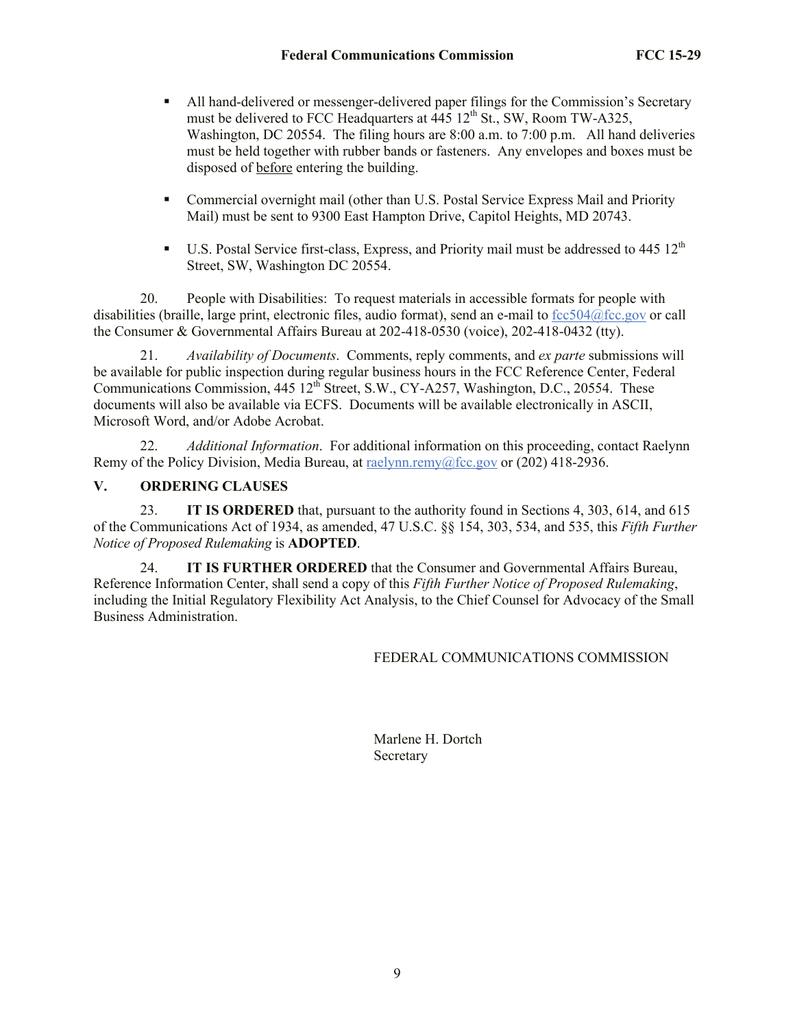- All hand-delivered or messenger-delivered paper filings for the Commission's Secretary must be delivered to FCC Headquarters at  $\overline{445}$  12<sup>th</sup> St., SW, Room TW-A325, Washington, DC 20554. The filing hours are 8:00 a.m. to 7:00 p.m. All hand deliveries must be held together with rubber bands or fasteners. Any envelopes and boxes must be disposed of before entering the building.
- Commercial overnight mail (other than U.S. Postal Service Express Mail and Priority Mail) must be sent to 9300 East Hampton Drive, Capitol Heights, MD 20743.
- $\blacksquare$  U.S. Postal Service first-class, Express, and Priority mail must be addressed to 445 12<sup>th</sup> Street, SW, Washington DC 20554.

20. People with Disabilities: To request materials in accessible formats for people with disabilities (braille, large print, electronic files, audio format), send an e-mail to fcc504@fcc.gov or call the Consumer & Governmental Affairs Bureau at 202-418-0530 (voice), 202-418-0432 (tty).

21. *Availability of Documents*. Comments, reply comments, and *ex parte* submissions will be available for public inspection during regular business hours in the FCC Reference Center, Federal Communications Commission, 445 12<sup>th</sup> Street, S.W., CY-A257, Washington, D.C., 20554. These documents will also be available via ECFS. Documents will be available electronically in ASCII, Microsoft Word, and/or Adobe Acrobat.

22. *Additional Information*. For additional information on this proceeding, contact Raelynn Remy of the Policy Division, Media Bureau, at raelynn.remy@fcc.gov or (202) 418-2936.

## **V. ORDERING CLAUSES**

23. **IT IS ORDERED** that, pursuant to the authority found in Sections 4, 303, 614, and 615 of the Communications Act of 1934, as amended, 47 U.S.C. §§ 154, 303, 534, and 535, this *Fifth Further Notice of Proposed Rulemaking* is **ADOPTED**.

24. **IT IS FURTHER ORDERED** that the Consumer and Governmental Affairs Bureau, Reference Information Center, shall send a copy of this *Fifth Further Notice of Proposed Rulemaking*, including the Initial Regulatory Flexibility Act Analysis, to the Chief Counsel for Advocacy of the Small Business Administration.

### FEDERAL COMMUNICATIONS COMMISSION

Marlene H. Dortch Secretary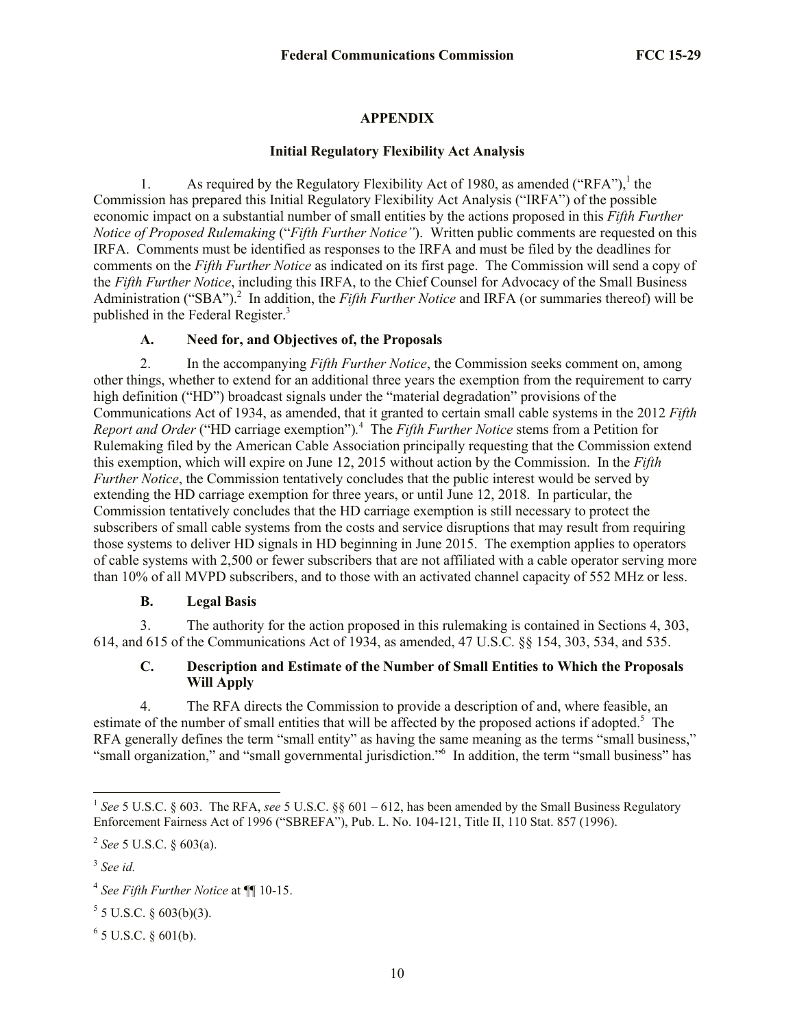### **APPENDIX**

#### **Initial Regulatory Flexibility Act Analysis**

1. As required by the Regulatory Flexibility Act of 1980, as amended ("RFA"),<sup>1</sup> the Commission has prepared this Initial Regulatory Flexibility Act Analysis ("IRFA") of the possible economic impact on a substantial number of small entities by the actions proposed in this *Fifth Further Notice of Proposed Rulemaking* ("*Fifth Further Notice"*). Written public comments are requested on this IRFA. Comments must be identified as responses to the IRFA and must be filed by the deadlines for comments on the *Fifth Further Notice* as indicated on its first page. The Commission will send a copy of the *Fifth Further Notice*, including this IRFA, to the Chief Counsel for Advocacy of the Small Business Administration ("SBA").<sup>2</sup> In addition, the *Fifth Further Notice* and IRFA (or summaries thereof) will be published in the Federal Register.<sup>3</sup>

### **A. Need for, and Objectives of, the Proposals**

2. In the accompanying *Fifth Further Notice*, the Commission seeks comment on, among other things, whether to extend for an additional three years the exemption from the requirement to carry high definition ("HD") broadcast signals under the "material degradation" provisions of the Communications Act of 1934, as amended, that it granted to certain small cable systems in the 2012 *Fifth Report and Order* ("HD carriage exemption")*.* 4 The *Fifth Further Notice* stems from a Petition for Rulemaking filed by the American Cable Association principally requesting that the Commission extend this exemption, which will expire on June 12, 2015 without action by the Commission. In the *Fifth Further Notice*, the Commission tentatively concludes that the public interest would be served by extending the HD carriage exemption for three years, or until June 12, 2018. In particular, the Commission tentatively concludes that the HD carriage exemption is still necessary to protect the subscribers of small cable systems from the costs and service disruptions that may result from requiring those systems to deliver HD signals in HD beginning in June 2015. The exemption applies to operators of cable systems with 2,500 or fewer subscribers that are not affiliated with a cable operator serving more than 10% of all MVPD subscribers, and to those with an activated channel capacity of 552 MHz or less.

### **B. Legal Basis**

3. The authority for the action proposed in this rulemaking is contained in Sections 4, 303, 614, and 615 of the Communications Act of 1934, as amended, 47 U.S.C. §§ 154, 303, 534, and 535.

### **C. Description and Estimate of the Number of Small Entities to Which the Proposals Will Apply**

4. The RFA directs the Commission to provide a description of and, where feasible, an estimate of the number of small entities that will be affected by the proposed actions if adopted.<sup>5</sup> The RFA generally defines the term "small entity" as having the same meaning as the terms "small business," "small organization," and "small governmental jurisdiction." In addition, the term "small business" has

 1 *See* 5 U.S.C. § 603. The RFA, *see* 5 U.S.C. §§ 601 – 612, has been amended by the Small Business Regulatory Enforcement Fairness Act of 1996 ("SBREFA"), Pub. L. No. 104-121, Title II, 110 Stat. 857 (1996).

<sup>2</sup> *See* 5 U.S.C. § 603(a).

<sup>3</sup> *See id.*

<sup>4</sup> *See Fifth Further Notice* at ¶¶ 10-15.

 $5$  5 U.S.C. § 603(b)(3).

 $6$  5 U.S.C. § 601(b).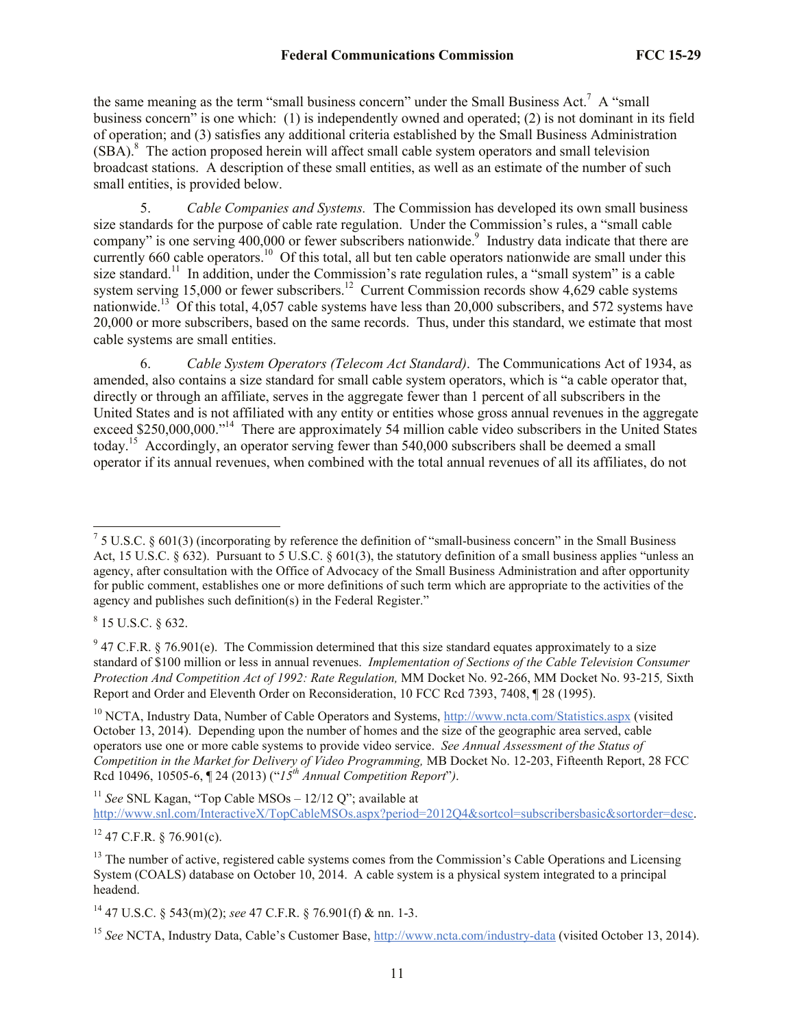the same meaning as the term "small business concern" under the Small Business Act.<sup>7</sup> A "small business concern<sup>3</sup> is one which: (1) is independently owned and operated; (2) is not dominant in its field of operation; and (3) satisfies any additional criteria established by the Small Business Administration (SBA).<sup>8</sup> The action proposed herein will affect small cable system operators and small television broadcast stations. A description of these small entities, as well as an estimate of the number of such small entities, is provided below.

5. *Cable Companies and Systems.* The Commission has developed its own small business size standards for the purpose of cable rate regulation. Under the Commission's rules, a "small cable company" is one serving  $400,000$  or fewer subscribers nationwide.<sup>9</sup> Industry data indicate that there are currently 660 cable operators.<sup>10</sup> Of this total, all but ten cable operators nationwide are small under this size standard.<sup>11</sup> In addition, under the Commission's rate regulation rules, a "small system" is a cable system serving 15,000 or fewer subscribers.<sup>12</sup> Current Commission records show 4,629 cable systems nationwide.<sup>13</sup> Of this total, 4,057 cable systems have less than 20,000 subscribers, and 572 systems have 20,000 or more subscribers, based on the same records. Thus, under this standard, we estimate that most cable systems are small entities.

6. *Cable System Operators (Telecom Act Standard)*.The Communications Act of 1934, as amended, also contains a size standard for small cable system operators, which is "a cable operator that, directly or through an affiliate, serves in the aggregate fewer than 1 percent of all subscribers in the United States and is not affiliated with any entity or entities whose gross annual revenues in the aggregate exceed \$250,000,000."<sup>14</sup> There are approximately 54 million cable video subscribers in the United States today.<sup>15</sup> Accordingly, an operator serving fewer than 540,000 subscribers shall be deemed a small operator if its annual revenues, when combined with the total annual revenues of all its affiliates, do not

l

<sup>11</sup> See SNL Kagan, "Top Cable MSOs – 12/12 Q"; available at http://www.snl.com/InteractiveX/TopCableMSOs.aspx?period=2012Q4&sortcol=subscribersbasic&sortorder=desc.

 $12$  47 C.F.R. § 76.901(c).

<sup>&</sup>lt;sup>7</sup> 5 U.S.C. § 601(3) (incorporating by reference the definition of "small-business concern" in the Small Business Act, 15 U.S.C.  $\S 632$ ). Pursuant to 5 U.S.C.  $\S 601(3)$ , the statutory definition of a small business applies "unless an agency, after consultation with the Office of Advocacy of the Small Business Administration and after opportunity for public comment, establishes one or more definitions of such term which are appropriate to the activities of the agency and publishes such definition(s) in the Federal Register."

 $8$  15 U.S.C. § 632.

 $9$  47 C.F.R. § 76.901(e). The Commission determined that this size standard equates approximately to a size standard of \$100 million or less in annual revenues. *Implementation of Sections of the Cable Television Consumer Protection And Competition Act of 1992: Rate Regulation,* MM Docket No. 92-266, MM Docket No. 93-215*,* Sixth Report and Order and Eleventh Order on Reconsideration, 10 FCC Rcd 7393, 7408, ¶ 28 (1995).

<sup>&</sup>lt;sup>10</sup> NCTA, Industry Data, Number of Cable Operators and Systems, http://www.ncta.com/Statistics.aspx (visited October 13, 2014). Depending upon the number of homes and the size of the geographic area served, cable operators use one or more cable systems to provide video service. *See Annual Assessment of the Status of Competition in the Market for Delivery of Video Programming,* MB Docket No. 12-203, Fifteenth Report, 28 FCC Rcd 10496, 10505-6, ¶ 24 (2013) ("*15th Annual Competition Report*"*)*.

<sup>&</sup>lt;sup>13</sup> The number of active, registered cable systems comes from the Commission's Cable Operations and Licensing System (COALS) database on October 10, 2014. A cable system is a physical system integrated to a principal headend.

<sup>14</sup> 47 U.S.C. § 543(m)(2); *see* 47 C.F.R. § 76.901(f) & nn. 1-3.

<sup>15</sup> *See* NCTA, Industry Data, Cable's Customer Base, http://www.ncta.com/industry-data (visited October 13, 2014).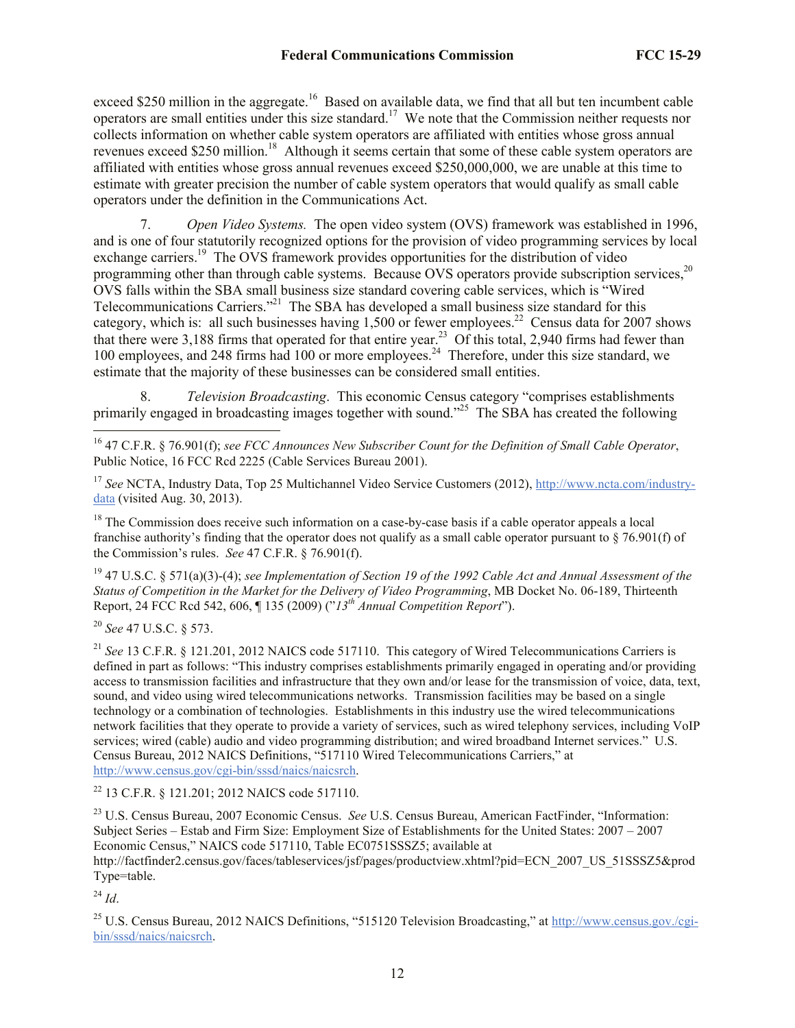exceed \$250 million in the aggregate.<sup>16</sup> Based on available data, we find that all but ten incumbent cable operators are small entities under this size standard.<sup>17</sup> We note that the Commission neither requests nor collects information on whether cable system operators are affiliated with entities whose gross annual revenues exceed \$250 million.<sup>18</sup> Although it seems certain that some of these cable system operators are affiliated with entities whose gross annual revenues exceed \$250,000,000, we are unable at this time to estimate with greater precision the number of cable system operators that would qualify as small cable operators under the definition in the Communications Act.

7. *Open Video Systems.* The open video system (OVS) framework was established in 1996, and is one of four statutorily recognized options for the provision of video programming services by local exchange carriers.<sup>19</sup> The OVS framework provides opportunities for the distribution of video programming other than through cable systems. Because OVS operators provide subscription services.<sup>20</sup> OVS falls within the SBA small business size standard covering cable services, which is "Wired Telecommunications Carriers."<sup>21</sup> The SBA has developed a small business size standard for this category, which is: all such businesses having  $1,500$  or fewer employees.<sup>22</sup> Census data for 2007 shows that there were 3,188 firms that operated for that entire year.<sup>23</sup> Of this total, 2,940 firms had fewer than 100 employees, and 248 firms had 100 or more employees.<sup>24</sup> Therefore, under this size standard, we estimate that the majority of these businesses can be considered small entities.

8. *Television Broadcasting*. This economic Census category "comprises establishments primarily engaged in broadcasting images together with sound."<sup>25</sup> The SBA has created the following

<sup>17</sup> *See* NCTA, Industry Data, Top 25 Multichannel Video Service Customers (2012), http://www.ncta.com/industrydata (visited Aug. 30, 2013).

<sup>18</sup> The Commission does receive such information on a case-by-case basis if a cable operator appeals a local franchise authority's finding that the operator does not qualify as a small cable operator pursuant to § 76.901(f) of the Commission's rules. *See* 47 C.F.R. § 76.901(f).

<sup>19</sup> 47 U.S.C. § 571(a)(3)-(4); *see Implementation of Section 19 of the 1992 Cable Act and Annual Assessment of the Status of Competition in the Market for the Delivery of Video Programming*, MB Docket No. 06-189, Thirteenth Report, 24 FCC Rcd 542, 606, ¶ 135 (2009) ("*13th Annual Competition Report*").

<sup>20</sup> *See* 47 U.S.C. § 573.

l

<sup>21</sup> See 13 C.F.R. § 121.201, 2012 NAICS code 517110. This category of Wired Telecommunications Carriers is defined in part as follows: "This industry comprises establishments primarily engaged in operating and/or providing access to transmission facilities and infrastructure that they own and/or lease for the transmission of voice, data, text, sound, and video using wired telecommunications networks. Transmission facilities may be based on a single technology or a combination of technologies. Establishments in this industry use the wired telecommunications network facilities that they operate to provide a variety of services, such as wired telephony services, including VoIP services; wired (cable) audio and video programming distribution; and wired broadband Internet services." U.S. Census Bureau, 2012 NAICS Definitions, "517110 Wired Telecommunications Carriers," at http://www.census.gov/cgi-bin/sssd/naics/naicsrch.

<sup>22</sup> 13 C.F.R. § 121.201; 2012 NAICS code 517110.

<sup>23</sup> U.S. Census Bureau, 2007 Economic Census. *See* U.S. Census Bureau, American FactFinder, "Information: Subject Series – Estab and Firm Size: Employment Size of Establishments for the United States: 2007 – 2007 Economic Census," NAICS code 517110, Table EC0751SSSZ5; available at http://factfinder2.census.gov/faces/tableservices/jsf/pages/productview.xhtml?pid=ECN\_2007\_US\_51SSSZ5&prod

Type=table.

<sup>24</sup> *Id*.

<sup>25</sup> U.S. Census Bureau, 2012 NAICS Definitions, "515120 Television Broadcasting," at http://www.census.gov./cgibin/sssd/naics/naicsrch.

<sup>16</sup> 47 C.F.R. § 76.901(f); *see FCC Announces New Subscriber Count for the Definition of Small Cable Operator*, Public Notice, 16 FCC Rcd 2225 (Cable Services Bureau 2001).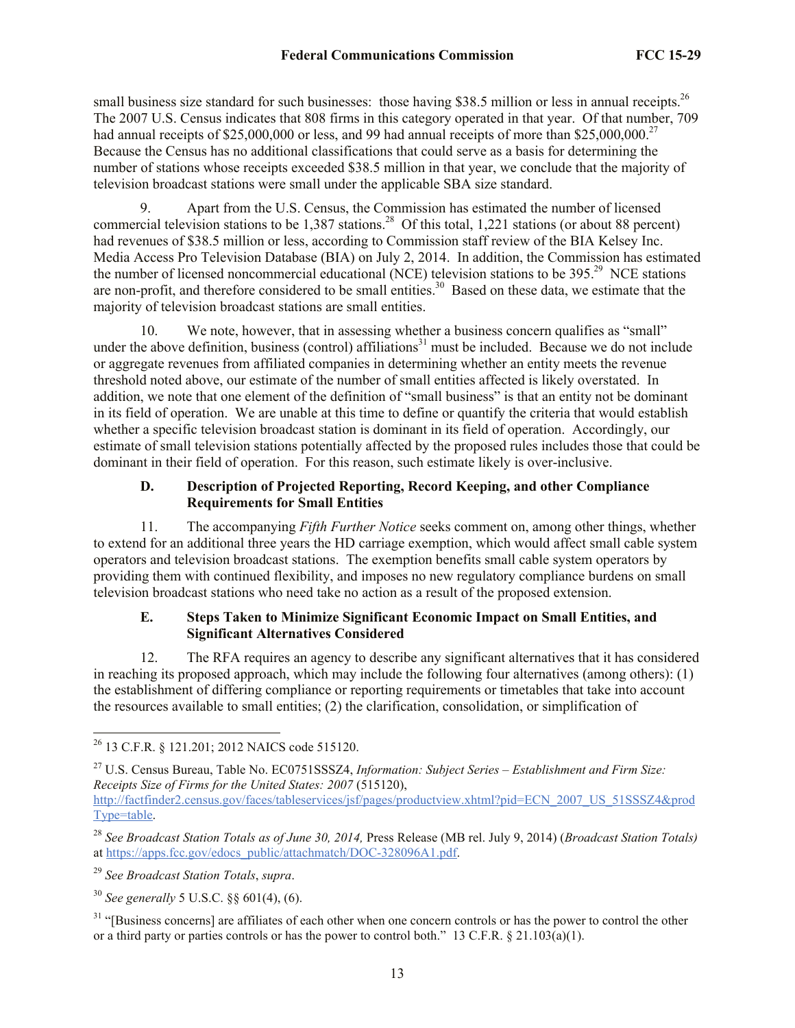small business size standard for such businesses: those having \$38.5 million or less in annual receipts.<sup>26</sup> The 2007 U.S. Census indicates that 808 firms in this category operated in that year. Of that number, 709 had annual receipts of \$25,000,000 or less, and 99 had annual receipts of more than \$25,000,000.<sup>27</sup> Because the Census has no additional classifications that could serve as a basis for determining the number of stations whose receipts exceeded \$38.5 million in that year, we conclude that the majority of television broadcast stations were small under the applicable SBA size standard.

9. Apart from the U.S. Census, the Commission has estimated the number of licensed commercial television stations to be  $1,387$  stations.<sup>28</sup> Of this total, 1,221 stations (or about 88 percent) had revenues of \$38.5 million or less, according to Commission staff review of the BIA Kelsey Inc. Media Access Pro Television Database (BIA) on July 2, 2014. In addition, the Commission has estimated the number of licensed noncommercial educational (NCE) television stations to be  $395.<sup>29</sup>$  NCE stations are non-profit, and therefore considered to be small entities.<sup>30</sup> Based on these data, we estimate that the majority of television broadcast stations are small entities.

10. We note, however, that in assessing whether a business concern qualifies as "small" under the above definition, business (control) affiliations<sup>31</sup> must be included. Because we do not include or aggregate revenues from affiliated companies in determining whether an entity meets the revenue threshold noted above, our estimate of the number of small entities affected is likely overstated. In addition, we note that one element of the definition of "small business" is that an entity not be dominant in its field of operation. We are unable at this time to define or quantify the criteria that would establish whether a specific television broadcast station is dominant in its field of operation. Accordingly, our estimate of small television stations potentially affected by the proposed rules includes those that could be dominant in their field of operation. For this reason, such estimate likely is over-inclusive.

### **D. Description of Projected Reporting, Record Keeping, and other Compliance Requirements for Small Entities**

11. The accompanying *Fifth Further Notice* seeks comment on, among other things, whether to extend for an additional three years the HD carriage exemption, which would affect small cable system operators and television broadcast stations. The exemption benefits small cable system operators by providing them with continued flexibility, and imposes no new regulatory compliance burdens on small television broadcast stations who need take no action as a result of the proposed extension.

## **E. Steps Taken to Minimize Significant Economic Impact on Small Entities, and Significant Alternatives Considered**

12. The RFA requires an agency to describe any significant alternatives that it has considered in reaching its proposed approach, which may include the following four alternatives (among others): (1) the establishment of differing compliance or reporting requirements or timetables that take into account the resources available to small entities; (2) the clarification, consolidation, or simplification of

http://factfinder2.census.gov/faces/tableservices/jsf/pages/productview.xhtml?pid=ECN\_2007\_US\_51SSSZ4&prod Type=table.

l

<sup>30</sup> *See generally* 5 U.S.C. §§ 601(4), (6).

<sup>&</sup>lt;sup>26</sup> 13 C.F.R. § 121.201; 2012 NAICS code 515120.

<sup>27</sup> U.S. Census Bureau, Table No. EC0751SSSZ4, *Information: Subject Series – Establishment and Firm Size: Receipts Size of Firms for the United States: 2007* (515120),

<sup>28</sup> *See Broadcast Station Totals as of June 30, 2014,* Press Release (MB rel. July 9, 2014) (*Broadcast Station Totals)*  at https://apps.fcc.gov/edocs\_public/attachmatch/DOC-328096A1.pdf.

<sup>29</sup> *See Broadcast Station Totals*, *supra*.

<sup>&</sup>lt;sup>31</sup> "[Business concerns] are affiliates of each other when one concern controls or has the power to control the other or a third party or parties controls or has the power to control both." 13 C.F.R.  $\S$  21.103(a)(1).